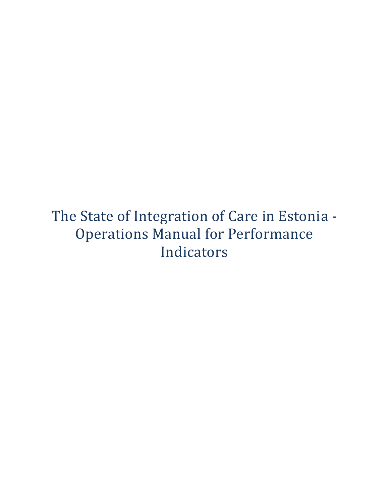The State of Integration of Care in Estonia - Operations Manual for Performance Indicators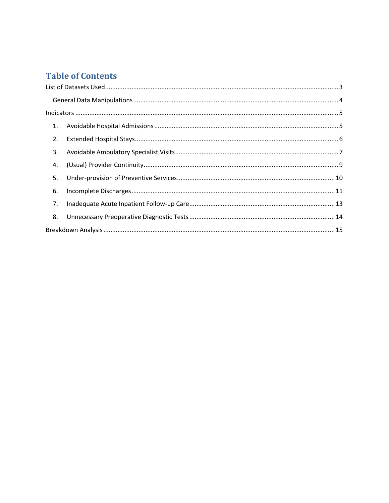# **Table of Contents**

| 1. |  |  |
|----|--|--|
| 2. |  |  |
| 3. |  |  |
| 4. |  |  |
| 5. |  |  |
| 6. |  |  |
| 7. |  |  |
| 8. |  |  |
|    |  |  |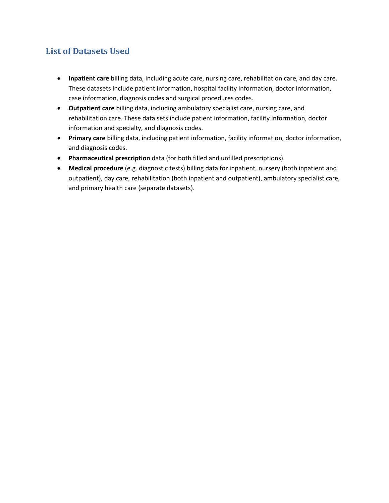# <span id="page-2-0"></span>**List of Datasets Used**

- **Inpatient care** billing data, including acute care, nursing care, rehabilitation care, and day care. These datasets include patient information, hospital facility information, doctor information, case information, diagnosis codes and surgical procedures codes.
- **Outpatient care** billing data, including ambulatory specialist care, nursing care, and rehabilitation care. These data sets include patient information, facility information, doctor information and specialty, and diagnosis codes.
- **Primary care** billing data, including patient information, facility information, doctor information, and diagnosis codes.
- **Pharmaceutical prescription** data (for both filled and unfilled prescriptions).
- **Medical procedure** (e.g. diagnostic tests) billing data for inpatient, nursery (both inpatient and outpatient), day care, rehabilitation (both inpatient and outpatient), ambulatory specialist care, and primary health care (separate datasets).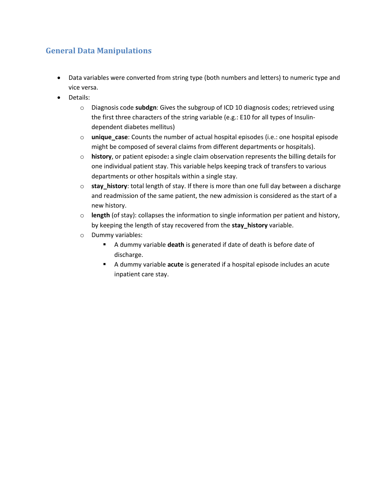# <span id="page-3-0"></span>**General Data Manipulations**

- Data variables were converted from string type (both numbers and letters) to numeric type and vice versa.
- Details:
	- o Diagnosis code **subdgn**: Gives the subgroup of ICD 10 diagnosis codes; retrieved using the first three characters of the string variable (e.g.: E10 for all types of Insulindependent diabetes mellitus)
	- o **unique\_case**: Counts the number of actual hospital episodes (i.e.: one hospital episode might be composed of several claims from different departments or hospitals).
	- o **history**, or patient episode**:** a single claim observation represents the billing details for one individual patient stay. This variable helps keeping track of transfers to various departments or other hospitals within a single stay.
	- o **stay\_history**: total length of stay. If there is more than one full day between a discharge and readmission of the same patient, the new admission is considered as the start of a new history.
	- o **length** (of stay): collapses the information to single information per patient and history, by keeping the length of stay recovered from the **stay\_history** variable.
	- o Dummy variables:
		- A dummy variable **death** is generated if date of death is before date of discharge.
		- A dummy variable **acute** is generated if a hospital episode includes an acute inpatient care stay.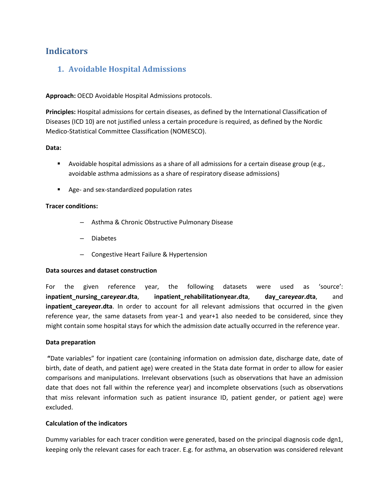# <span id="page-4-1"></span><span id="page-4-0"></span>**Indicators**

# **1. Avoidable Hospital Admissions**

**Approach:** OECD Avoidable Hospital Admissions protocols.

**Principles:** Hospital admissions for certain diseases, as defined by the International Classification of Diseases (ICD 10) are not justified unless a certain procedure is required, as defined by the Nordic Medico-Statistical Committee Classification (NOMESCO).

# **Data:**

- Avoidable hospital admissions as a share of all admissions for a certain disease group (e.g., avoidable asthma admissions as a share of respiratory disease admissions)
- Age- and sex-standardized population rates

# **Tracer conditions:**

- Asthma & Chronic Obstructive Pulmonary Disease
- Diabetes
- Congestive Heart Failure & Hypertension

# **Data sources and dataset construction**

For the given reference year, the following datasets were used as 'source': **inpatient\_nursing\_care***year***.dta**, **inpatient\_rehabilitationyear.dta**, **day\_care***year***.dta**, and **inpatient careyear.dta**. In order to account for all relevant admissions that occurred in the given reference year, the same datasets from year-1 and year+1 also needed to be considered, since they might contain some hospital stays for which the admission date actually occurred in the reference year.

# **Data preparation**

**"**Date variables" for inpatient care (containing information on admission date, discharge date, date of birth, date of death, and patient age) were created in the Stata date format in order to allow for easier comparisons and manipulations. Irrelevant observations (such as observations that have an admission date that does not fall within the reference year) and incomplete observations (such as observations that miss relevant information such as patient insurance ID, patient gender, or patient age) were excluded.

# **Calculation of the indicators**

Dummy variables for each tracer condition were generated, based on the principal diagnosis code dgn1, keeping only the relevant cases for each tracer. E.g. for asthma, an observation was considered relevant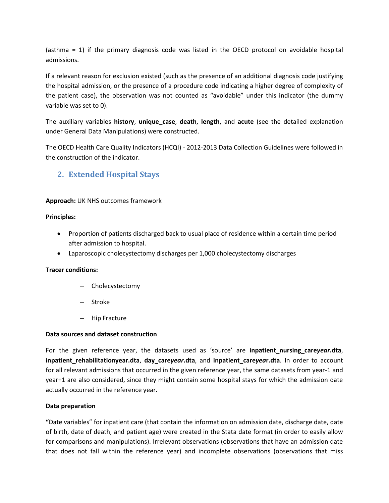(asthma = 1) if the primary diagnosis code was listed in the OECD protocol on avoidable hospital admissions.

If a relevant reason for exclusion existed (such as the presence of an additional diagnosis code justifying the hospital admission, or the presence of a procedure code indicating a higher degree of complexity of the patient case), the observation was not counted as "avoidable" under this indicator (the dummy variable was set to 0).

The auxiliary variables **history**, **unique\_case**, **death**, **length**, and **acute** (see the detailed explanation under [General Data Manipulations\)](#page-3-0) were constructed.

The OECD Health Care Quality Indicators (HCQI) - 2012-2013 Data Collection Guidelines were followed in the construction of the indicator.

# <span id="page-5-0"></span>**2. Extended Hospital Stays**

# **Approach:** UK NHS outcomes framework

# **Principles:**

- Proportion of patients discharged back to usual place of residence within a certain time period after admission to hospital.
- Laparoscopic cholecystectomy discharges per 1,000 cholecystectomy discharges

# **Tracer conditions:**

- Cholecystectomy
- Stroke
- Hip Fracture

# **Data sources and dataset construction**

For the given reference year, the datasets used as 'source' are **inpatient\_nursing\_care***year***.dta**, **inpatient\_rehabilitationyear.dta**, **day\_care***year***.dta**, and **inpatient\_care***yea***r.dta**. In order to account for all relevant admissions that occurred in the given reference year, the same datasets from year-1 and year+1 are also considered, since they might contain some hospital stays for which the admission date actually occurred in the reference year.

# **Data preparation**

**"**Date variables" for inpatient care (that contain the information on admission date, discharge date, date of birth, date of death, and patient age) were created in the Stata date format (in order to easily allow for comparisons and manipulations). Irrelevant observations (observations that have an admission date that does not fall within the reference year) and incomplete observations (observations that miss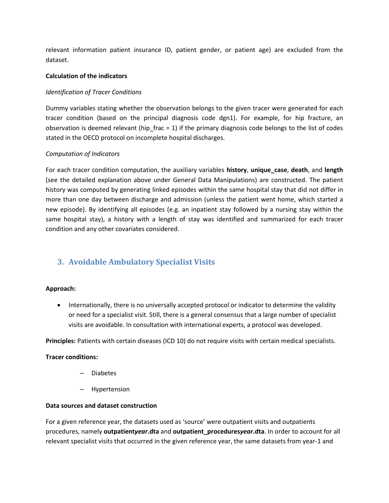relevant information patient insurance ID, patient gender, or patient age) are excluded from the dataset.

# **Calculation of the indicators**

# *Identification of Tracer Conditions*

Dummy variables stating whether the observation belongs to the given tracer were generated for each tracer condition (based on the principal diagnosis code dgn1). For example, for hip fracture, an observation is deemed relevant (hip  $frac = 1$ ) if the primary diagnosis code belongs to the list of codes stated in the OECD protocol on incomplete hospital discharges.

# *Computation of Indicators*

For each tracer condition computation, the auxiliary variables **history**, **unique\_case**, **death**, and **length** (see the detailed explanation above under [General Data Manipulations\)](#page-3-0) are constructed. The patient history was computed by generating linked episodes within the same hospital stay that did not differ in more than one day between discharge and admission (unless the patient went home, which started a new episode). By identifying all episodes (e.g. an inpatient stay followed by a nursing stay within the same hospital stay), a history with a length of stay was identified and summarized for each tracer condition and any other covariates considered.

# <span id="page-6-0"></span>**3. Avoidable Ambulatory Specialist Visits**

# **Approach:**

 Internationally, there is no universally accepted protocol or indicator to determine the validity or need for a specialist visit. Still, there is a general consensus that a large number of specialist visits are avoidable. In consultation with international experts, a protocol was developed.

**Principles:** Patients with certain diseases (ICD 10) do not require visits with certain medical specialists.

# **Tracer conditions:**

- Diabetes
- Hypertension

# **Data sources and dataset construction**

For a given reference year, the datasets used as 'source' were outpatient visits and outpatients procedures, namely **outpatient***year***.dta** and **outpatient\_procedures***year***.dta**. In order to account for all relevant specialist visits that occurred in the given reference year, the same datasets from year-1 and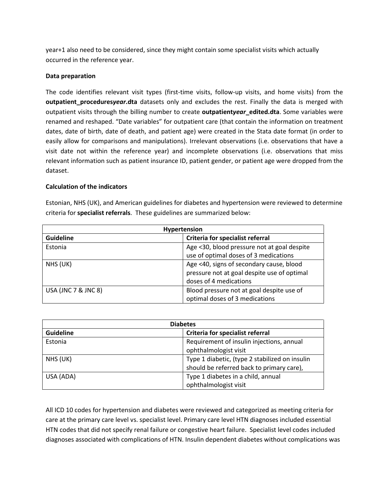year+1 also need to be considered, since they might contain some specialist visits which actually occurred in the reference year.

### **Data preparation**

The code identifies relevant visit types (first-time visits, follow-up visits, and home visits) from the **outpatient\_procedures***year***.dta** datasets only and excludes the rest. Finally the data is merged with outpatient visits through the billing number to create **outpatient***year***\_edited.dta**. Some variables were renamed and reshaped. "Date variables" for outpatient care (that contain the information on treatment dates, date of birth, date of death, and patient age) were created in the Stata date format (in order to easily allow for comparisons and manipulations). Irrelevant observations (i.e. observations that have a visit date not within the reference year) and incomplete observations (i.e. observations that miss relevant information such as patient insurance ID, patient gender, or patient age were dropped from the dataset.

# **Calculation of the indicators**

Estonian, NHS (UK), and American guidelines for diabetes and hypertension were reviewed to determine criteria for **specialist referrals**. These guidelines are summarized below:

| Hypertension        |                                             |  |
|---------------------|---------------------------------------------|--|
| <b>Guideline</b>    | Criteria for specialist referral            |  |
| Estonia             | Age <30, blood pressure not at goal despite |  |
|                     | use of optimal doses of 3 medications       |  |
| NHS (UK)            | Age <40, signs of secondary cause, blood    |  |
|                     | pressure not at goal despite use of optimal |  |
|                     | doses of 4 medications                      |  |
| USA (JNC 7 & JNC 8) | Blood pressure not at goal despite use of   |  |
|                     | optimal doses of 3 medications              |  |

| <b>Diabetes</b>  |                                                |  |
|------------------|------------------------------------------------|--|
| <b>Guideline</b> | Criteria for specialist referral               |  |
| Estonia          | Requirement of insulin injections, annual      |  |
|                  | ophthalmologist visit                          |  |
| NHS (UK)         | Type 1 diabetic, (type 2 stabilized on insulin |  |
|                  | should be referred back to primary care),      |  |
| USA (ADA)        | Type 1 diabetes in a child, annual             |  |
|                  | ophthalmologist visit                          |  |

All ICD 10 codes for hypertension and diabetes were reviewed and categorized as meeting criteria for care at the primary care level vs. specialist level. Primary care level HTN diagnoses included essential HTN codes that did not specify renal failure or congestive heart failure. Specialist level codes included diagnoses associated with complications of HTN. Insulin dependent diabetes without complications was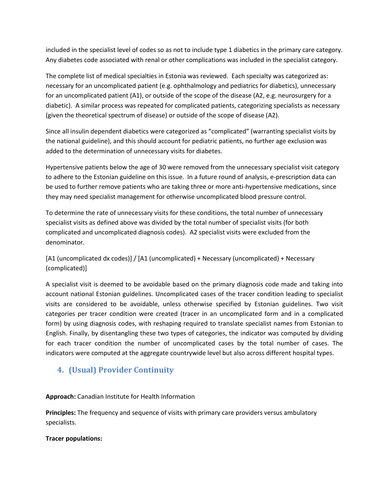included in the specialist level of codes so as not to include type 1 diabetics in the primary care category. Any diabetes code associated with renal or other complications was included in the specialist category.

The complete list of medical specialties in Estonia was reviewed. Each specialty was categorized as: necessary for an uncomplicated patient (e.g. ophthalmology and pediatrics for diabetics), unnecessary for an uncomplicated patient (A1), or outside of the scope of the disease (A2, e.g. neurosurgery for a diabetic). A similar process was repeated for complicated patients, categorizing specialists as necessary (given the theoretical spectrum of disease) or outside of the scope of disease (A2).

Since all insulin dependent diabetics were categorized as "complicated" (warranting specialist visits by the national guideline), and this should account for pediatric patients, no further age exclusion was added to the determination of unnecessary visits for diabetes.

Hypertensive patients below the age of 30 were removed from the unnecessary specialist visit category to adhere to the Estonian guideline on this issue. In a future round of analysis, e-prescription data can be used to further remove patients who are taking three or more anti-hypertensive medications, since they may need specialist management for otherwise uncomplicated blood pressure control.

To determine the rate of unnecessary visits for these conditions, the total number of unnecessary specialist visits as defined above was divided by the total number of specialist visits (for both complicated and uncomplicated diagnosis codes). A2 specialist visits were excluded from the denominator.

[A1 (uncomplicated dx codes)] / [A1 (uncomplicated) + Necessary (uncomplicated) + Necessary (complicated)]

A specialist visit is deemed to be avoidable based on the primary diagnosis code made and taking into account national Estonian guidelines. Uncomplicated cases of the tracer condition leading to specialist visits are considered to be avoidable, unless otherwise specified by Estonian guidelines. Two visit categories per tracer condition were created (tracer in an uncomplicated form and in a complicated form) by using diagnosis codes, with reshaping required to translate specialist names from Estonian to English. Finally, by disentangling these two types of categories, the indicator was computed by dividing for each tracer condition the number of uncomplicated cases by the total number of cases. The indicators were computed at the aggregate countrywide level but also across different hospital types.

# <span id="page-8-0"></span>**4. (Usual) Provider Continuity**

**Approach:** Canadian Institute for Health Information

**Principles:** The frequency and sequence of visits with primary care providers versus ambulatory specialists.

# **Tracer populations:**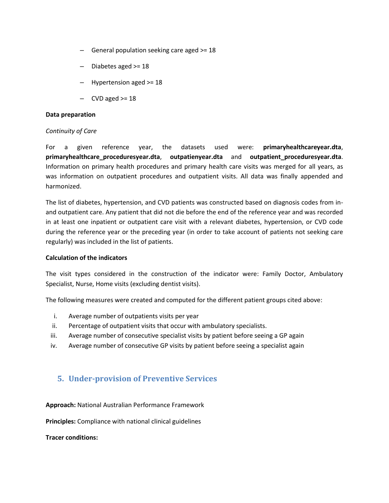- General population seeking care aged >= 18
- Diabetes aged >= 18
- Hypertension aged >= 18
- CVD aged  $>= 18$

### **Data preparation**

### *Continuity of Care*

For a given reference year, the datasets used were: **primaryhealthcareyear.dta**, **primaryhealthcare\_proceduresyear.dta**, **outpatienyear.dta** and **outpatient\_proceduresyear.dta**. Information on primary health procedures and primary health care visits was merged for all years, as was information on outpatient procedures and outpatient visits. All data was finally appended and harmonized.

The list of diabetes, hypertension, and CVD patients was constructed based on diagnosis codes from inand outpatient care. Any patient that did not die before the end of the reference year and was recorded in at least one inpatient or outpatient care visit with a relevant diabetes, hypertension, or CVD code during the reference year or the preceding year (in order to take account of patients not seeking care regularly) was included in the list of patients.

### **Calculation of the indicators**

The visit types considered in the construction of the indicator were: Family Doctor, Ambulatory Specialist, Nurse, Home visits (excluding dentist visits).

The following measures were created and computed for the different patient groups cited above:

- i. Average number of outpatients visits per year
- ii. Percentage of outpatient visits that occur with ambulatory specialists.
- iii. Average number of consecutive specialist visits by patient before seeing a GP again
- iv. Average number of consecutive GP visits by patient before seeing a specialist again

# <span id="page-9-0"></span>**5. Under-provision of Preventive Services**

### **Approach:** National Australian Performance Framework

**Principles:** Compliance with national clinical guidelines

**Tracer conditions:**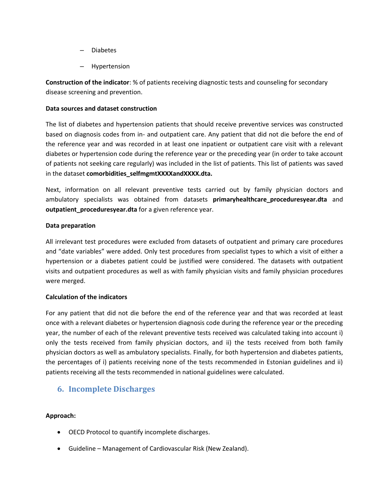- Diabetes
- Hypertension

**Construction of the indicator**: % of patients receiving diagnostic tests and counseling for secondary disease screening and prevention.

# **Data sources and dataset construction**

The list of diabetes and hypertension patients that should receive preventive services was constructed based on diagnosis codes from in- and outpatient care. Any patient that did not die before the end of the reference year and was recorded in at least one inpatient or outpatient care visit with a relevant diabetes or hypertension code during the reference year or the preceding year (in order to take account of patients not seeking care regularly) was included in the list of patients. This list of patients was saved in the dataset **comorbidities\_selfmgmtXXXXandXXXX.dta.** 

Next, information on all relevant preventive tests carried out by family physician doctors and ambulatory specialists was obtained from datasets **primaryhealthcare\_proceduresyear.dta** and **outpatient\_proceduresyear.dta** for a given reference year.

# **Data preparation**

All irrelevant test procedures were excluded from datasets of outpatient and primary care procedures and "date variables" were added. Only test procedures from specialist types to which a visit of either a hypertension or a diabetes patient could be justified were considered. The datasets with outpatient visits and outpatient procedures as well as with family physician visits and family physician procedures were merged.

# **Calculation of the indicators**

For any patient that did not die before the end of the reference year and that was recorded at least once with a relevant diabetes or hypertension diagnosis code during the reference year or the preceding year, the number of each of the relevant preventive tests received was calculated taking into account i) only the tests received from family physician doctors, and ii) the tests received from both family physician doctors as well as ambulatory specialists. Finally, for both hypertension and diabetes patients, the percentages of i) patients receiving none of the tests recommended in Estonian guidelines and ii) patients receiving all the tests recommended in national guidelines were calculated.

# <span id="page-10-0"></span>**6. Incomplete Discharges**

# **Approach:**

- OECD Protocol to quantify incomplete discharges.
- Guideline Management of Cardiovascular Risk (New Zealand).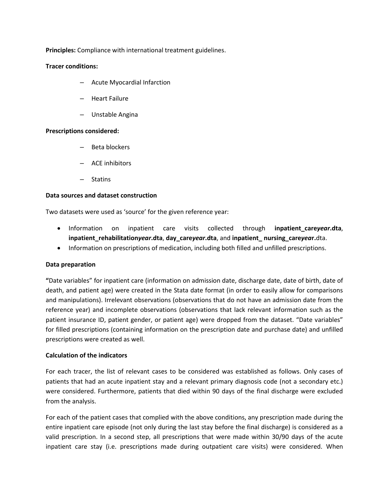**Principles:** Compliance with international treatment guidelines.

### **Tracer conditions:**

- Acute Myocardial Infarction
- Heart Failure
- Unstable Angina

### **Prescriptions considered:**

- Beta blockers
- ACE inhibitors
- **Statins**

### **Data sources and dataset construction**

Two datasets were used as 'source' for the given reference year:

- Information on inpatient care visits collected through **inpatient\_care***year***.dta**, **inpatient\_rehabilitation***year***.dta**, **day\_care***year***.dta**, and **inpatient\_ nursing\_care***yea***r.**dta.
- Information on prescriptions of medication, including both filled and unfilled prescriptions.

### **Data preparation**

**"**Date variables" for inpatient care (information on admission date, discharge date, date of birth, date of death, and patient age) were created in the Stata date format (in order to easily allow for comparisons and manipulations). Irrelevant observations (observations that do not have an admission date from the reference year) and incomplete observations (observations that lack relevant information such as the patient insurance ID, patient gender, or patient age) were dropped from the dataset. "Date variables" for filled prescriptions (containing information on the prescription date and purchase date) and unfilled prescriptions were created as well.

### **Calculation of the indicators**

For each tracer, the list of relevant cases to be considered was established as follows. Only cases of patients that had an acute inpatient stay and a relevant primary diagnosis code (not a secondary etc.) were considered. Furthermore, patients that died within 90 days of the final discharge were excluded from the analysis.

For each of the patient cases that complied with the above conditions, any prescription made during the entire inpatient care episode (not only during the last stay before the final discharge) is considered as a valid prescription. In a second step, all prescriptions that were made within 30/90 days of the acute inpatient care stay (i.e. prescriptions made during outpatient care visits) were considered. When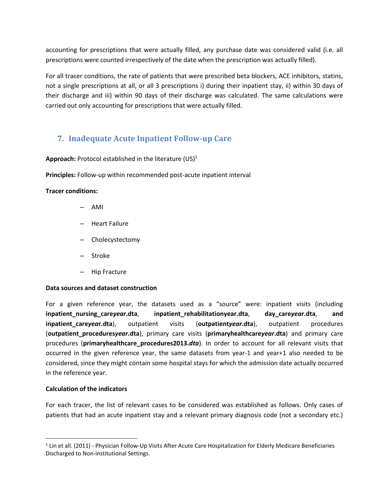accounting for prescriptions that were actually filled, any purchase date was considered valid (i.e. all prescriptions were counted irrespectively of the date when the prescription was actually filled).

For all tracer conditions, the rate of patients that were prescribed beta blockers, ACE inhibitors, statins, not a single prescriptions at all, or all 3 prescriptions i) during their inpatient stay, ii) within 30 days of their discharge and iii) within 90 days of their discharge was calculated. The same calculations were carried out only accounting for prescriptions that were actually filled.

# <span id="page-12-0"></span>**7. Inadequate Acute Inpatient Follow-up Care**

Approach: Protocol established in the literature (US)<sup>1</sup>

**Principles:** Follow-up within recommended post-acute inpatient interval

# **Tracer conditions:**

- AMI
- Heart Failure
- Cholecystectomy
- Stroke
- Hip Fracture

# **Data sources and dataset construction**

For a given reference year, the datasets used as a "source" were: inpatient visits (including **inpatient\_nursing\_care***year***.dta**, **inpatient\_rehabilitationyear.dta**, **day\_care***year***.dta**, **and inpatient\_care***yea***r.dta**), outpatient visits (**outpatient***year***.dta**), outpatient procedures (**outpatient\_procedures***year***.dta**), primary care visits (**primaryhealthcare***year***.dta**) and primary care procedures (**primaryhealthcare\_procedures2013.***dta*). In order to account for all relevant visits that occurred in the given reference year, the same datasets from year-1 and year+1 also needed to be considered, since they might contain some hospital stays for which the admission date actually occurred in the reference year.

# **Calculation of the indicators**

l

For each tracer, the list of relevant cases to be considered was established as follows. Only cases of patients that had an acute inpatient stay and a relevant primary diagnosis code (not a secondary etc.)

 $1$  Lin et all. (2011) - Physician Follow-Up Visits After Acute Care Hospitalization for Elderly Medicare Beneficiaries Discharged to Non-institutional Settings.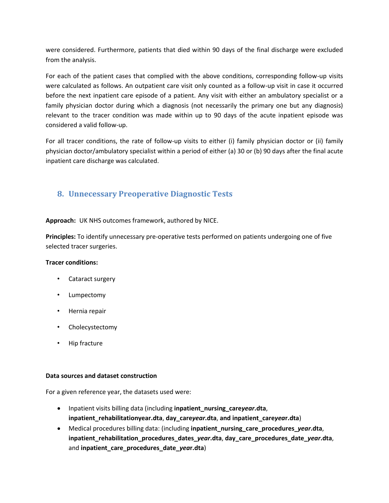were considered. Furthermore, patients that died within 90 days of the final discharge were excluded from the analysis.

For each of the patient cases that complied with the above conditions, corresponding follow-up visits were calculated as follows. An outpatient care visit only counted as a follow-up visit in case it occurred before the next inpatient care episode of a patient. Any visit with either an ambulatory specialist or a family physician doctor during which a diagnosis (not necessarily the primary one but any diagnosis) relevant to the tracer condition was made within up to 90 days of the acute inpatient episode was considered a valid follow-up.

For all tracer conditions, the rate of follow-up visits to either (i) family physician doctor or (ii) family physician doctor/ambulatory specialist within a period of either (a) 30 or (b) 90 days after the final acute inpatient care discharge was calculated.

# <span id="page-13-0"></span>**8. Unnecessary Preoperative Diagnostic Tests**

**Approach:** UK NHS outcomes framework, authored by NICE.

**Principles:** To identify unnecessary pre-operative tests performed on patients undergoing one of five selected tracer surgeries.

# **Tracer conditions:**

- Cataract surgery
- Lumpectomy
- Hernia repair
- Cholecystectomy
- Hip fracture

# **Data sources and dataset construction**

For a given reference year, the datasets used were:

- Inpatient visits billing data (including **inpatient\_nursing\_care***year***.dta**, **inpatient\_rehabilitationyear.dta**, **day\_care***year***.dta**, **and inpatient\_care***yea***r.dta**)
- Medical procedures billing data: (including **inpatient\_nursing\_care\_procedures\_***year***.dta**, **inpatient\_rehabilitation\_procedures\_dates\_***year***.dta**, **day\_care\_procedures\_date\_***year***.dta**, and **inpatient\_care\_procedures\_date\_***yea***r.dta**)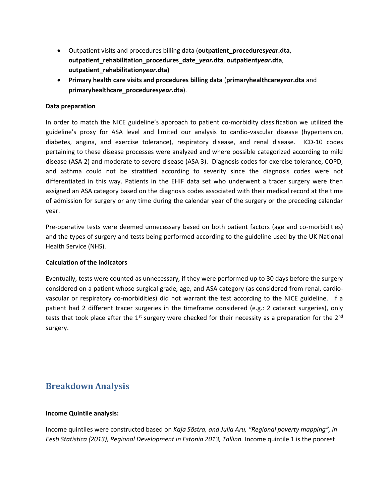- Outpatient visits and procedures billing data (**outpatient\_procedures***year***.dta**, **outpatient\_rehabilitation\_procedures\_date\_***year***.dta**, **outpatient***year***.dta**, **outpatient\_rehabilitation***year***.dta)**
- **Primary health care visits and procedures billing data** (**primaryhealthcare***year***.dta** and **primaryhealthcare\_procedures***year***.dta**).

# **Data preparation**

In order to match the NICE guideline's approach to patient co-morbidity classification we utilized the guideline's proxy for ASA level and limited our analysis to cardio-vascular disease (hypertension, diabetes, angina, and exercise tolerance), respiratory disease, and renal disease. ICD-10 codes pertaining to these disease processes were analyzed and where possible categorized according to mild disease (ASA 2) and moderate to severe disease (ASA 3). Diagnosis codes for exercise tolerance, COPD, and asthma could not be stratified according to severity since the diagnosis codes were not differentiated in this way. Patients in the EHIF data set who underwent a tracer surgery were then assigned an ASA category based on the diagnosis codes associated with their medical record at the time of admission for surgery or any time during the calendar year of the surgery or the preceding calendar year.

Pre-operative tests were deemed unnecessary based on both patient factors (age and co-morbidities) and the types of surgery and tests being performed according to the guideline used by the UK National Health Service (NHS).

# **Calculation of the indicators**

Eventually, tests were counted as unnecessary, if they were performed up to 30 days before the surgery considered on a patient whose surgical grade, age, and ASA category (as considered from renal, cardiovascular or respiratory co-morbidities) did not warrant the test according to the NICE guideline. If a patient had 2 different tracer surgeries in the timeframe considered (e.g.: 2 cataract surgeries), only tests that took place after the 1<sup>st</sup> surgery were checked for their necessity as a preparation for the 2<sup>nd</sup> surgery.

# <span id="page-14-0"></span>**Breakdown Analysis**

# **Income Quintile analysis:**

Income quintiles were constructed based on *Kaja Sõstra, and Julia Aru, "Regional poverty mapping", in Eesti Statistica (2013), Regional Development in Estonia 2013, Tallinn.* Income quintile 1 is the poorest